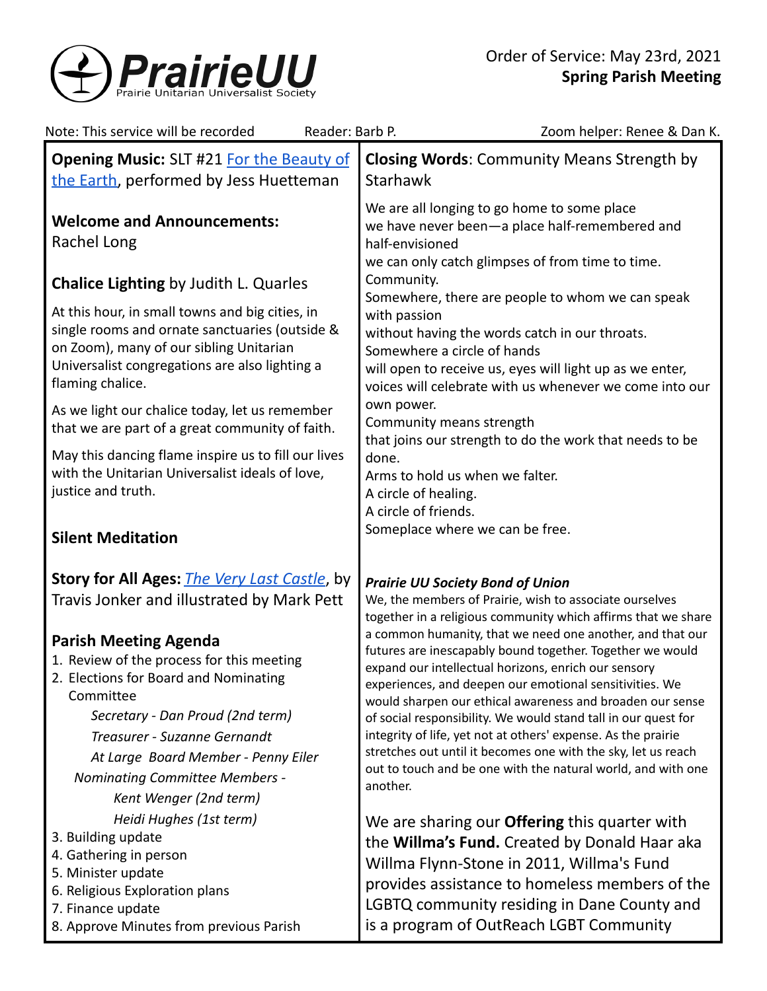

| Note: This service will be recorded<br>Reader: Barb P.                                                                                                                                                                                                                                                        | Zoom helper: Renee & Dan K.                                                                                                                                                                                                                                                                                                                                                                                                                                                                                                                                                            |
|---------------------------------------------------------------------------------------------------------------------------------------------------------------------------------------------------------------------------------------------------------------------------------------------------------------|----------------------------------------------------------------------------------------------------------------------------------------------------------------------------------------------------------------------------------------------------------------------------------------------------------------------------------------------------------------------------------------------------------------------------------------------------------------------------------------------------------------------------------------------------------------------------------------|
| <b>Opening Music: SLT #21 For the Beauty of</b><br>the Earth, performed by Jess Huetteman                                                                                                                                                                                                                     | <b>Closing Words: Community Means Strength by</b><br><b>Starhawk</b>                                                                                                                                                                                                                                                                                                                                                                                                                                                                                                                   |
| <b>Welcome and Announcements:</b><br>Rachel Long                                                                                                                                                                                                                                                              | We are all longing to go home to some place<br>we have never been-a place half-remembered and<br>half-envisioned<br>we can only catch glimpses of from time to time.                                                                                                                                                                                                                                                                                                                                                                                                                   |
| <b>Chalice Lighting by Judith L. Quarles</b>                                                                                                                                                                                                                                                                  | Community.                                                                                                                                                                                                                                                                                                                                                                                                                                                                                                                                                                             |
| At this hour, in small towns and big cities, in<br>single rooms and ornate sanctuaries (outside &<br>on Zoom), many of our sibling Unitarian<br>Universalist congregations are also lighting a<br>flaming chalice.                                                                                            | Somewhere, there are people to whom we can speak<br>with passion<br>without having the words catch in our throats.<br>Somewhere a circle of hands<br>will open to receive us, eyes will light up as we enter,<br>voices will celebrate with us whenever we come into our<br>own power.<br>Community means strength<br>that joins our strength to do the work that needs to be<br>done.<br>Arms to hold us when we falter.<br>A circle of healing.<br>A circle of friends.                                                                                                              |
| As we light our chalice today, let us remember<br>that we are part of a great community of faith.                                                                                                                                                                                                             |                                                                                                                                                                                                                                                                                                                                                                                                                                                                                                                                                                                        |
| May this dancing flame inspire us to fill our lives<br>with the Unitarian Universalist ideals of love,<br>justice and truth.                                                                                                                                                                                  |                                                                                                                                                                                                                                                                                                                                                                                                                                                                                                                                                                                        |
| <b>Silent Meditation</b>                                                                                                                                                                                                                                                                                      | Someplace where we can be free.                                                                                                                                                                                                                                                                                                                                                                                                                                                                                                                                                        |
| Story for All Ages: <i>The Very Last Castle</i> , by<br>Travis Jonker and illustrated by Mark Pett                                                                                                                                                                                                            | <b>Prairie UU Society Bond of Union</b><br>We, the members of Prairie, wish to associate ourselves<br>together in a religious community which affirms that we share                                                                                                                                                                                                                                                                                                                                                                                                                    |
| <b>Parish Meeting Agenda</b><br>1. Review of the process for this meeting<br>2. Elections for Board and Nominating<br>Committee<br>Secretary - Dan Proud (2nd term)<br>Treasurer - Suzanne Gernandt<br>At Large Board Member - Penny Eiler<br><b>Nominating Committee Members -</b><br>Kent Wenger (2nd term) | a common humanity, that we need one another, and that our<br>futures are inescapably bound together. Together we would<br>expand our intellectual horizons, enrich our sensory<br>experiences, and deepen our emotional sensitivities. We<br>would sharpen our ethical awareness and broaden our sense<br>of social responsibility. We would stand tall in our quest for<br>integrity of life, yet not at others' expense. As the prairie<br>stretches out until it becomes one with the sky, let us reach<br>out to touch and be one with the natural world, and with one<br>another. |
| Heidi Hughes (1st term)<br>3. Building update<br>4. Gathering in person<br>5. Minister update<br>6. Religious Exploration plans<br>7. Finance update<br>8. Approve Minutes from previous Parish                                                                                                               | We are sharing our <b>Offering</b> this quarter with<br>the Willma's Fund. Created by Donald Haar aka<br>Willma Flynn-Stone in 2011, Willma's Fund<br>provides assistance to homeless members of the<br>LGBTQ community residing in Dane County and<br>is a program of OutReach LGBT Community                                                                                                                                                                                                                                                                                         |